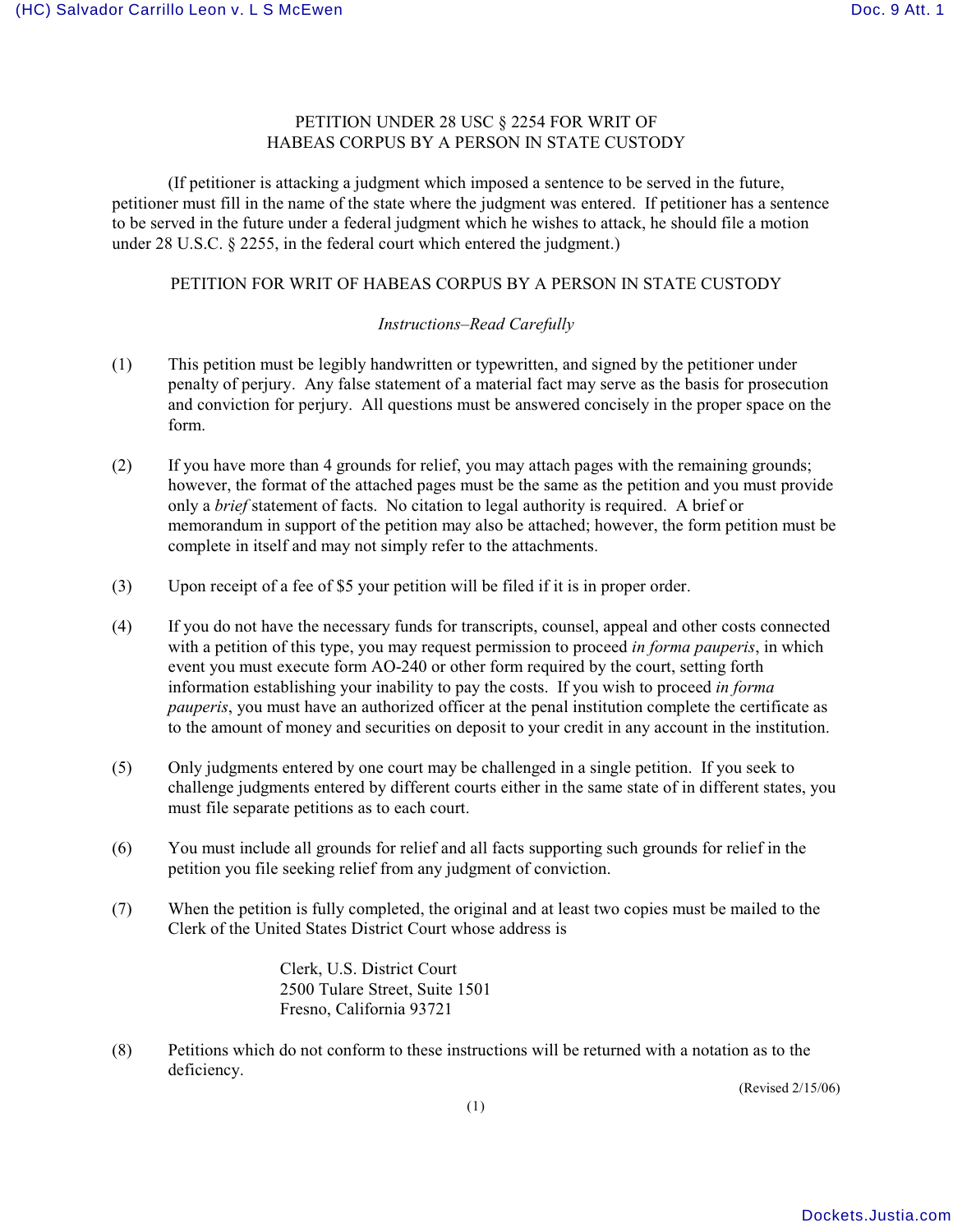## PETITION UNDER 28 USC § 2254 FOR WRIT OF HABEAS CORPUS BY A PERSON IN STATE CUSTODY

(If petitioner is attacking a judgment which imposed a sentence to be served in the future, petitioner must fill in the name of the state where the judgment was entered. If petitioner has a sentence to be served in the future under a federal judgment which he wishes to attack, he should file a motion under 28 U.S.C. § 2255, in the federal court which entered the judgment.)

## PETITION FOR WRIT OF HABEAS CORPUS BY A PERSON IN STATE CUSTODY

## *Instructions–Read Carefully*

- (1) This petition must be legibly handwritten or typewritten, and signed by the petitioner under penalty of perjury. Any false statement of a material fact may serve as the basis for prosecution and conviction for perjury. All questions must be answered concisely in the proper space on the form.
- (2) If you have more than 4 grounds for relief, you may attach pages with the remaining grounds; however, the format of the attached pages must be the same as the petition and you must provide only a *brief* statement of facts. No citation to legal authority is required. A brief or memorandum in support of the petition may also be attached; however, the form petition must be complete in itself and may not simply refer to the attachments.
- (3) Upon receipt of a fee of \$5 your petition will be filed if it is in proper order.
- (4) If you do not have the necessary funds for transcripts, counsel, appeal and other costs connected with a petition of this type, you may request permission to proceed *in forma pauperis*, in which event you must execute form AO-240 or other form required by the court, setting forth information establishing your inability to pay the costs. If you wish to proceed *in forma pauperis*, you must have an authorized officer at the penal institution complete the certificate as to the amount of money and securities on deposit to your credit in any account in the institution.
- (5) Only judgments entered by one court may be challenged in a single petition. If you seek to challenge judgments entered by different courts either in the same state of in different states, you must file separate petitions as to each court.
- (6) You must include all grounds for relief and all facts supporting such grounds for relief in the petition you file seeking relief from any judgment of conviction.
- (7) When the petition is fully completed, the original and at least two copies must be mailed to the Clerk of the United States District Court whose address is

Clerk, U.S. District Court 2500 Tulare Street, Suite 1501 Fresno, California 93721

(8) Petitions which do not conform to these instructions will be returned with a notation as to the deficiency.

(Revised 2/15/06)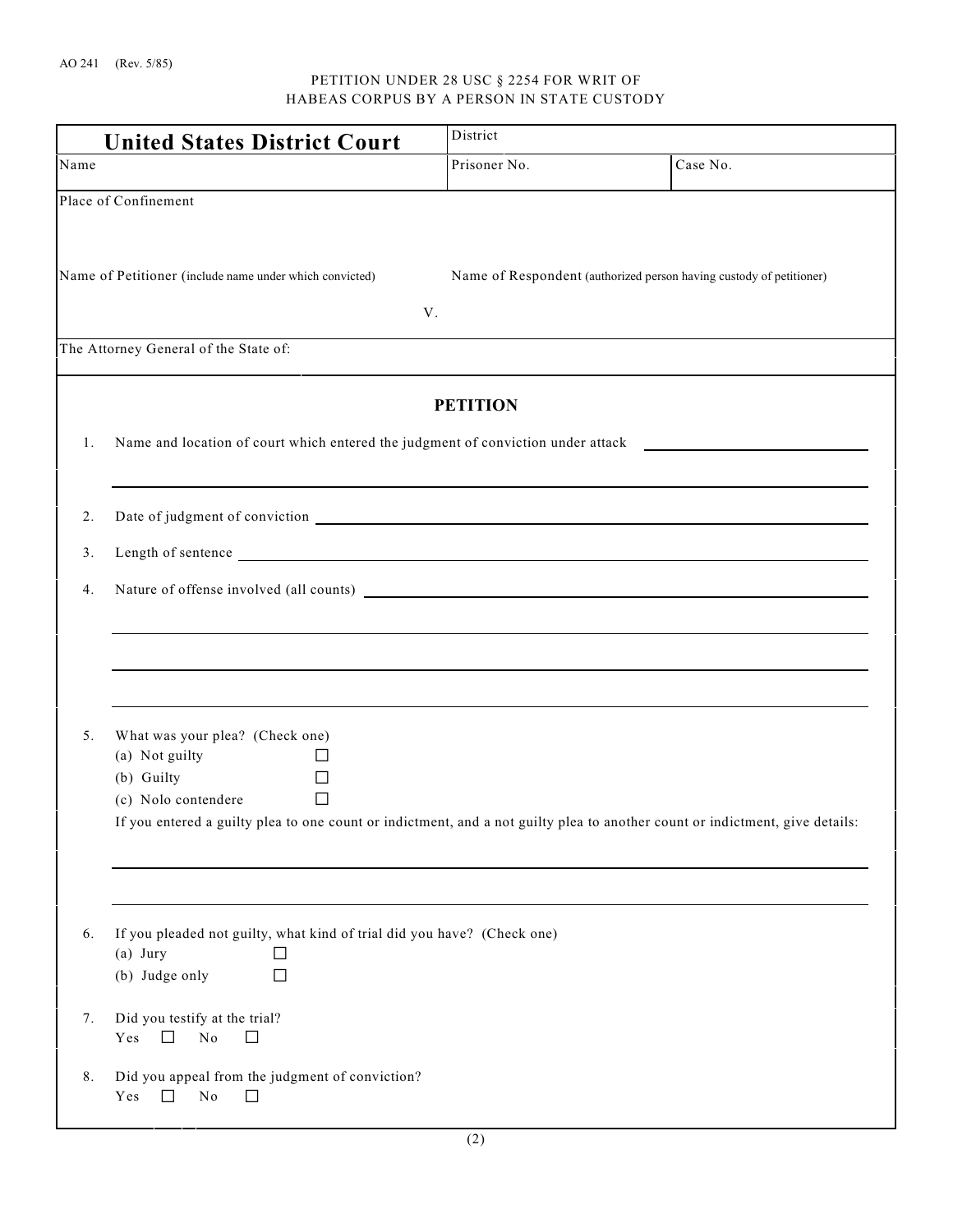## PETITION UNDER 28 USC § 2254 FOR WRIT OF HABEAS CORPUS BY A PERSON IN STATE CUSTODY

| <b>United States District Court</b>                     |                  | District                                                                                                                                                                                                                       |                                                                                                                              |  |
|---------------------------------------------------------|------------------|--------------------------------------------------------------------------------------------------------------------------------------------------------------------------------------------------------------------------------|------------------------------------------------------------------------------------------------------------------------------|--|
| Name                                                    |                  | Prisoner No.                                                                                                                                                                                                                   | Case No.                                                                                                                     |  |
| Place of Confinement                                    |                  |                                                                                                                                                                                                                                |                                                                                                                              |  |
|                                                         |                  |                                                                                                                                                                                                                                |                                                                                                                              |  |
| Name of Petitioner (include name under which convicted) |                  |                                                                                                                                                                                                                                | Name of Respondent (authorized person having custody of petitioner)                                                          |  |
|                                                         |                  | V.                                                                                                                                                                                                                             |                                                                                                                              |  |
| The Attorney General of the State of:                   |                  |                                                                                                                                                                                                                                |                                                                                                                              |  |
|                                                         |                  | <b>PETITION</b>                                                                                                                                                                                                                |                                                                                                                              |  |
| 1.                                                      |                  |                                                                                                                                                                                                                                |                                                                                                                              |  |
|                                                         |                  |                                                                                                                                                                                                                                |                                                                                                                              |  |
| 2.                                                      |                  |                                                                                                                                                                                                                                |                                                                                                                              |  |
| 3.                                                      |                  | Length of sentence here are all the sense of the sense of the sense of the sense of the sense of the sense of the sense of the sense of the sense of the sense of the sense of the sense of the sense of the sense of the sens |                                                                                                                              |  |
| 4.                                                      |                  |                                                                                                                                                                                                                                | Nature of offense involved (all counts)                                                                                      |  |
|                                                         |                  |                                                                                                                                                                                                                                |                                                                                                                              |  |
|                                                         |                  |                                                                                                                                                                                                                                |                                                                                                                              |  |
|                                                         |                  |                                                                                                                                                                                                                                |                                                                                                                              |  |
| What was your plea? (Check one)<br>5.                   |                  |                                                                                                                                                                                                                                |                                                                                                                              |  |
| (a) Not guilty<br>(b) Guilty                            | $\Box$<br>$\Box$ |                                                                                                                                                                                                                                |                                                                                                                              |  |
| (c) Nolo contendere                                     | $\Box$           |                                                                                                                                                                                                                                | If you entered a guilty plea to one count or indictment, and a not guilty plea to another count or indictment, give details: |  |
|                                                         |                  |                                                                                                                                                                                                                                |                                                                                                                              |  |
|                                                         |                  |                                                                                                                                                                                                                                |                                                                                                                              |  |
| 6.                                                      |                  | If you pleaded not guilty, what kind of trial did you have? (Check one)                                                                                                                                                        |                                                                                                                              |  |
| $(a)$ Jury<br>(b) Judge only                            | $\Box$<br>□      |                                                                                                                                                                                                                                |                                                                                                                              |  |
| Did you testify at the trial?<br>7.                     |                  |                                                                                                                                                                                                                                |                                                                                                                              |  |
| $\rm No$<br>Yes<br>$\Box$<br>$\Box$                     |                  |                                                                                                                                                                                                                                |                                                                                                                              |  |
| Did you appeal from the judgment of conviction?<br>8.   |                  |                                                                                                                                                                                                                                |                                                                                                                              |  |
| $\Box$<br>$\rm No$<br>Yes<br>$\Box$                     |                  |                                                                                                                                                                                                                                |                                                                                                                              |  |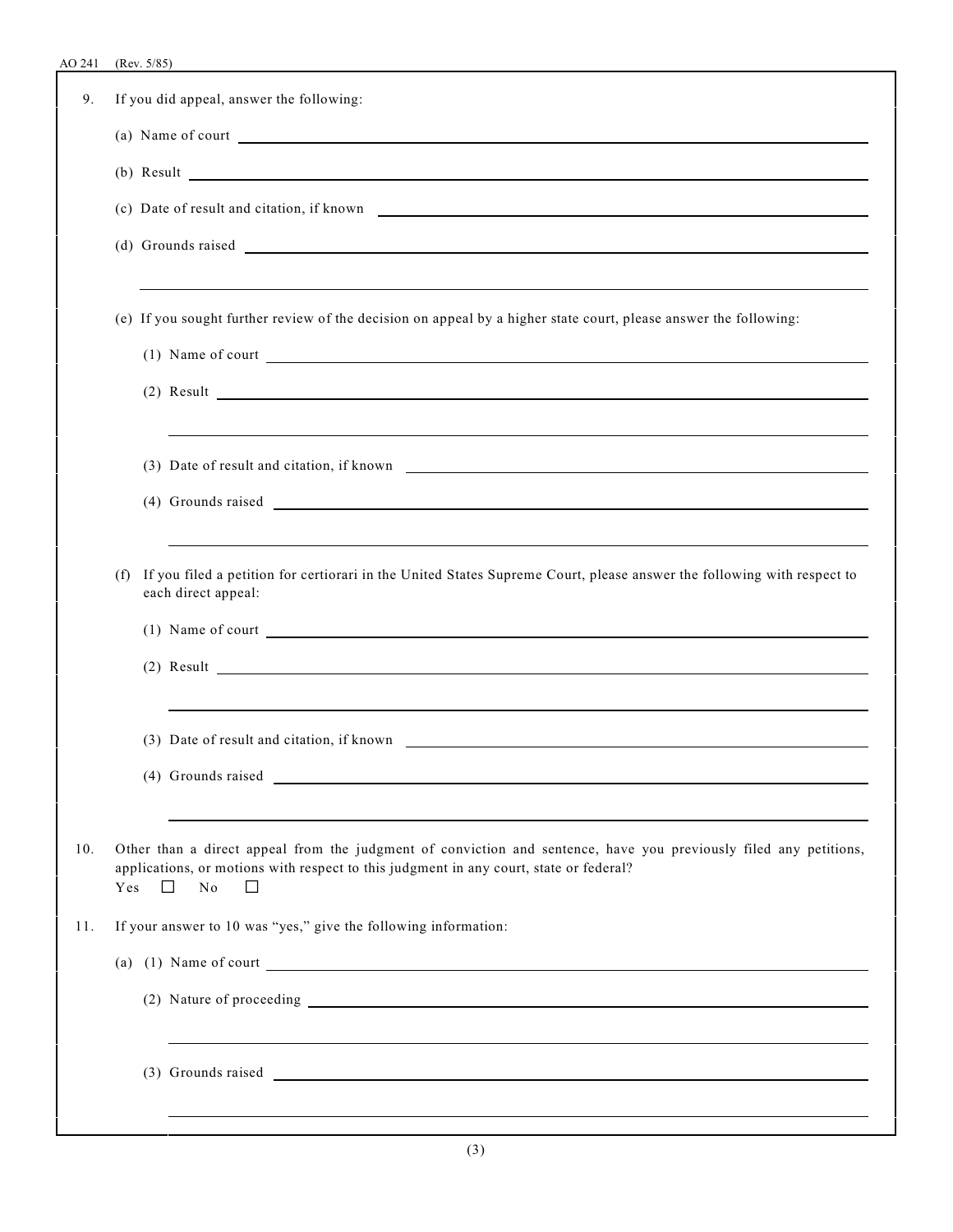| 9.  |     | If you did appeal, answer the following:                                                                                                                                                                                         |
|-----|-----|----------------------------------------------------------------------------------------------------------------------------------------------------------------------------------------------------------------------------------|
|     |     | (a) Name of court                                                                                                                                                                                                                |
|     |     | $(b)$ Result $\overline{\phantom{a}}$                                                                                                                                                                                            |
|     |     |                                                                                                                                                                                                                                  |
|     |     |                                                                                                                                                                                                                                  |
|     |     |                                                                                                                                                                                                                                  |
|     |     | (e) If you sought further review of the decision on appeal by a higher state court, please answer the following:                                                                                                                 |
|     |     | (1) Name of court                                                                                                                                                                                                                |
|     |     | $(2)$ Result $\overline{\phantom{a}}$                                                                                                                                                                                            |
|     |     | ,我们也不会有什么。""我们的人,我们也不会有什么?""我们的人,我们也不会有什么?""我们的人,我们也不会有什么?""我们的人,我们也不会有什么?""我们的人                                                                                                                                                 |
|     |     | (3) Date of result and citation, if known                                                                                                                                                                                        |
|     |     |                                                                                                                                                                                                                                  |
|     |     |                                                                                                                                                                                                                                  |
|     | (f) | If you filed a petition for certiorari in the United States Supreme Court, please answer the following with respect to<br>each direct appeal:                                                                                    |
|     |     |                                                                                                                                                                                                                                  |
|     |     | $(2)$ Result $\overline{\qquad \qquad }$                                                                                                                                                                                         |
|     |     |                                                                                                                                                                                                                                  |
|     |     |                                                                                                                                                                                                                                  |
|     |     |                                                                                                                                                                                                                                  |
|     |     |                                                                                                                                                                                                                                  |
| 10. | Yes | Other than a direct appeal from the judgment of conviction and sentence, have you previously filed any petitions,<br>applications, or motions with respect to this judgment in any court, state or federal?<br>П<br>No<br>$\Box$ |
| 11. |     | If your answer to 10 was "yes," give the following information:                                                                                                                                                                  |
|     |     | (a) $(1)$ Name of court                                                                                                                                                                                                          |
|     |     |                                                                                                                                                                                                                                  |
|     |     | ,我们也不能在这里的时候,我们也不能在这里的时候,我们也不能会在这里的时候,我们也不能会在这里的时候,我们也不能会在这里的时候,我们也不能会在这里的时候,我们也                                                                                                                                                 |
|     |     |                                                                                                                                                                                                                                  |
|     |     |                                                                                                                                                                                                                                  |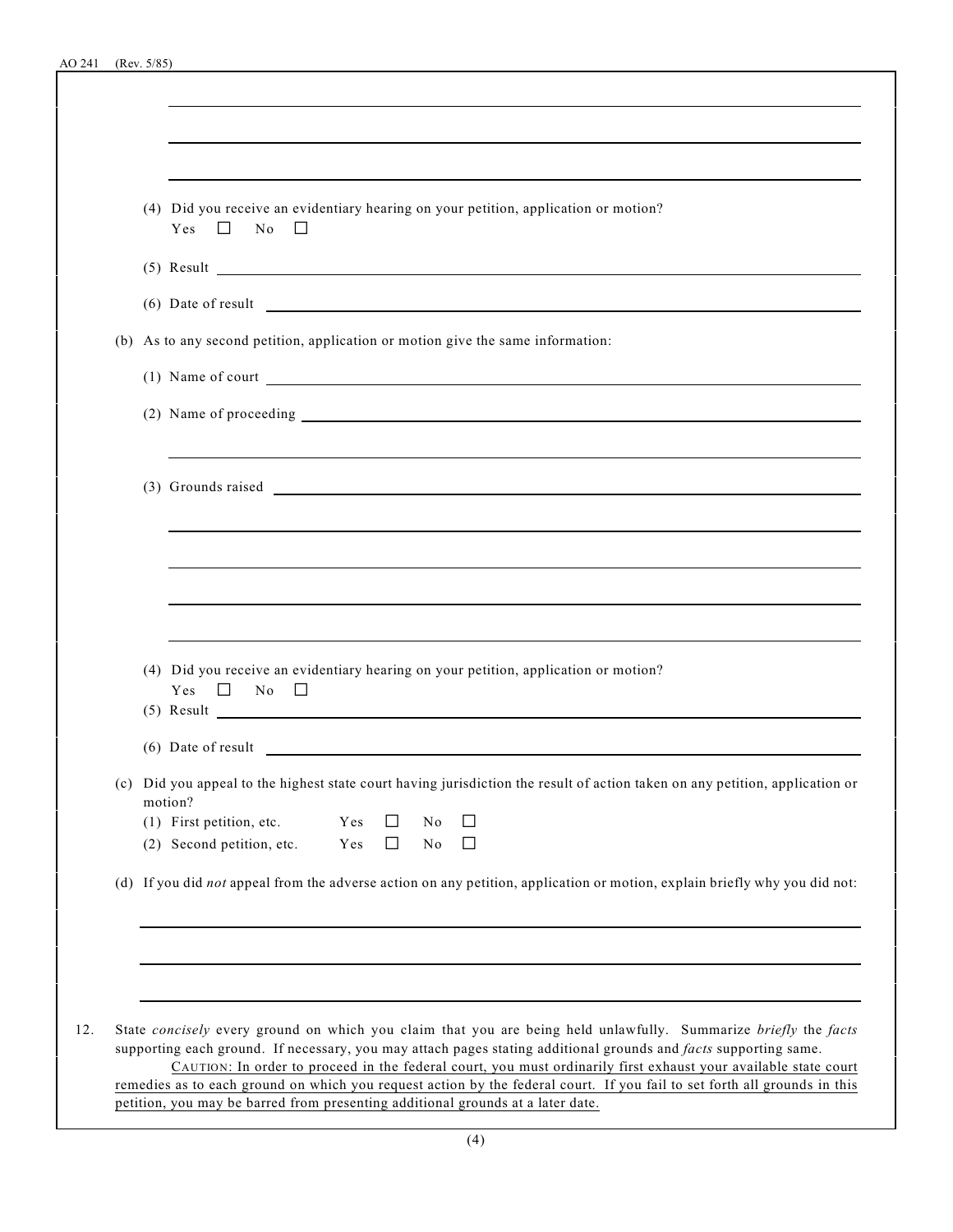| (4) Did you receive an evidentiary hearing on your petition, application or motion?<br>$Yes \Box$<br>No<br>$\perp$<br>$(5)$ Result $\overline{\phantom{a}}$<br>(6) Date of result<br>(b) As to any second petition, application or motion give the same information:<br>(1) Name of court<br>(4) Did you receive an evidentiary hearing on your petition, application or motion?<br>Yes<br>No<br>$\Box$<br>$\perp$<br>$(5)$ Result $\overline{\phantom{a}}$ |  |
|-------------------------------------------------------------------------------------------------------------------------------------------------------------------------------------------------------------------------------------------------------------------------------------------------------------------------------------------------------------------------------------------------------------------------------------------------------------|--|
|                                                                                                                                                                                                                                                                                                                                                                                                                                                             |  |
|                                                                                                                                                                                                                                                                                                                                                                                                                                                             |  |
|                                                                                                                                                                                                                                                                                                                                                                                                                                                             |  |
|                                                                                                                                                                                                                                                                                                                                                                                                                                                             |  |
|                                                                                                                                                                                                                                                                                                                                                                                                                                                             |  |
|                                                                                                                                                                                                                                                                                                                                                                                                                                                             |  |
|                                                                                                                                                                                                                                                                                                                                                                                                                                                             |  |
|                                                                                                                                                                                                                                                                                                                                                                                                                                                             |  |
|                                                                                                                                                                                                                                                                                                                                                                                                                                                             |  |
|                                                                                                                                                                                                                                                                                                                                                                                                                                                             |  |
|                                                                                                                                                                                                                                                                                                                                                                                                                                                             |  |
|                                                                                                                                                                                                                                                                                                                                                                                                                                                             |  |
|                                                                                                                                                                                                                                                                                                                                                                                                                                                             |  |
|                                                                                                                                                                                                                                                                                                                                                                                                                                                             |  |
|                                                                                                                                                                                                                                                                                                                                                                                                                                                             |  |
|                                                                                                                                                                                                                                                                                                                                                                                                                                                             |  |
|                                                                                                                                                                                                                                                                                                                                                                                                                                                             |  |
|                                                                                                                                                                                                                                                                                                                                                                                                                                                             |  |
| (6) Date of result                                                                                                                                                                                                                                                                                                                                                                                                                                          |  |
| (c) Did you appeal to the highest state court having jurisdiction the result of action taken on any petition, application or                                                                                                                                                                                                                                                                                                                                |  |
| motion?                                                                                                                                                                                                                                                                                                                                                                                                                                                     |  |
| (1) First petition, etc.<br>Yes<br>$\perp$<br>No<br>ΙI<br>(2) Second petition, etc.<br>Yes<br>$\perp$<br>No                                                                                                                                                                                                                                                                                                                                                 |  |
| (d) If you did not appeal from the adverse action on any petition, application or motion, explain briefly why you did not:                                                                                                                                                                                                                                                                                                                                  |  |
|                                                                                                                                                                                                                                                                                                                                                                                                                                                             |  |
|                                                                                                                                                                                                                                                                                                                                                                                                                                                             |  |
|                                                                                                                                                                                                                                                                                                                                                                                                                                                             |  |
|                                                                                                                                                                                                                                                                                                                                                                                                                                                             |  |
| State concisely every ground on which you claim that you are being held unlawfully. Summarize briefly the facts<br>12.<br>supporting each ground. If necessary, you may attach pages stating additional grounds and facts supporting same.                                                                                                                                                                                                                  |  |
| CAUTION: In order to proceed in the federal court, you must ordinarily first exhaust your available state court<br>remedies as to each ground on which you request action by the federal court. If you fail to set forth all grounds in this                                                                                                                                                                                                                |  |
| petition, you may be barred from presenting additional grounds at a later date.                                                                                                                                                                                                                                                                                                                                                                             |  |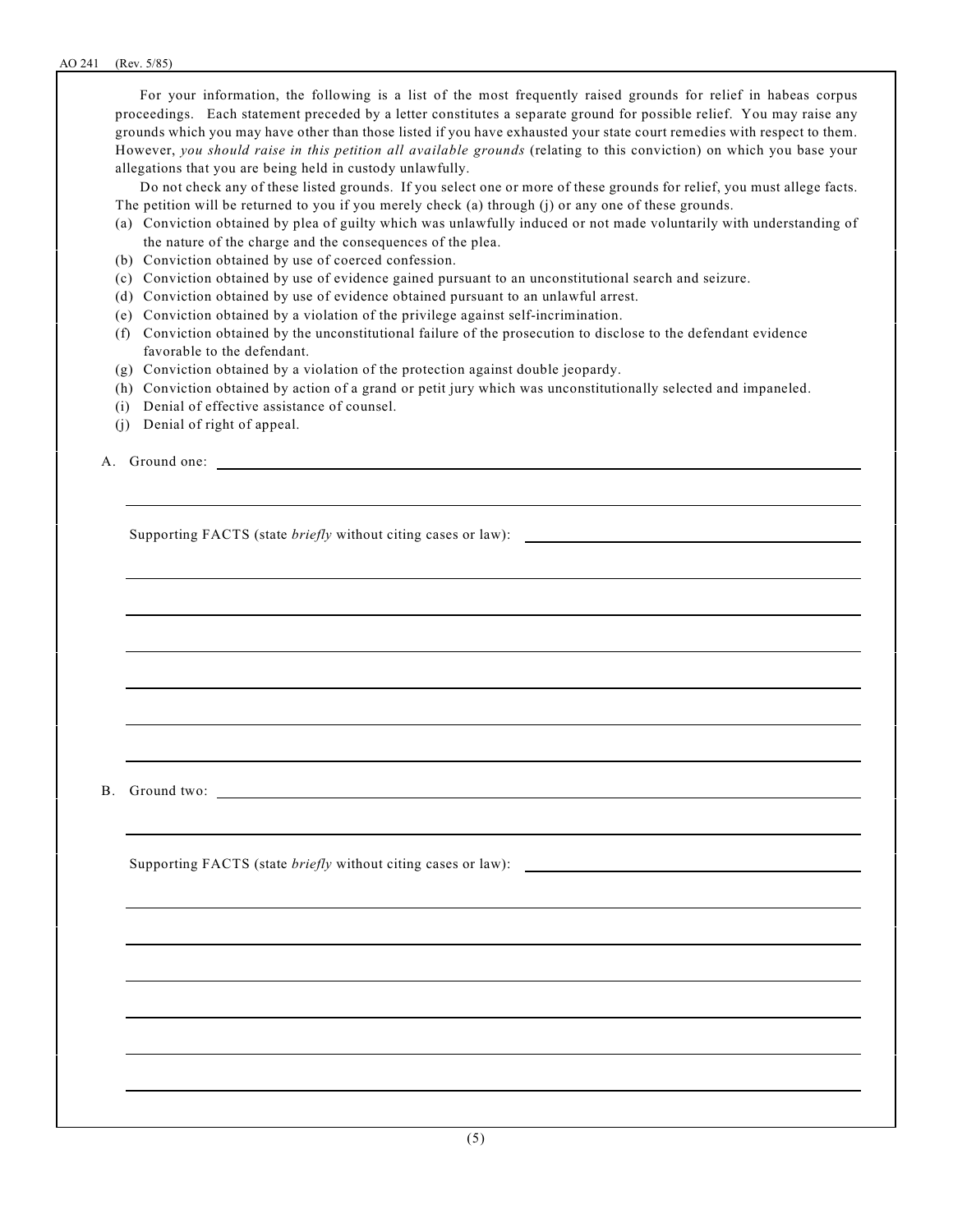For your information, the following is a list of the most frequently raised grounds for relief in habeas corpus proceedings. Each statement preceded by a letter constitutes a separate ground for possible relief. You may raise any grounds which you may have other than those listed if you have exhausted your state court remedies with respect to them. However, *you should raise in this petition all available grounds* (relating to this conviction) on which you base your allegations that you are being held in custody unlawfully.

Do not check any of these listed grounds. If you select one or more of these grounds for relief, you must allege facts. The petition will be returned to you if you merely check (a) through (j) or any one of these grounds.

- (a) Conviction obtained by plea of guilty which was unlawfully induced or not made voluntarily with understanding of the nature of the charge and the consequences of the plea.
- (b) Conviction obtained by use of coerced confession.
- (c) Conviction obtained by use of evidence gained pursuant to an unconstitutional search and seizure.
- (d) Conviction obtained by use of evidence obtained pursuant to an unlawful arrest.
- (e) Conviction obtained by a violation of the privilege against self-incrimination.
- (f) Conviction obtained by the unconstitutional failure of the prosecution to disclose to the defendant evidence favorable to the defendant.
- (g) Conviction obtained by a violation of the protection against double jeopardy.
- (h) Conviction obtained by action of a grand or petit jury which was unconstitutionally selected and impaneled.
- (i) Denial of effective assistance of counsel.
- (j) Denial of right of appeal.
- A. Ground one:

Supporting FACTS (state *briefly* without citing cases or law):

B. Ground two:

Supporting FACTS (state *briefly* without citing cases or law):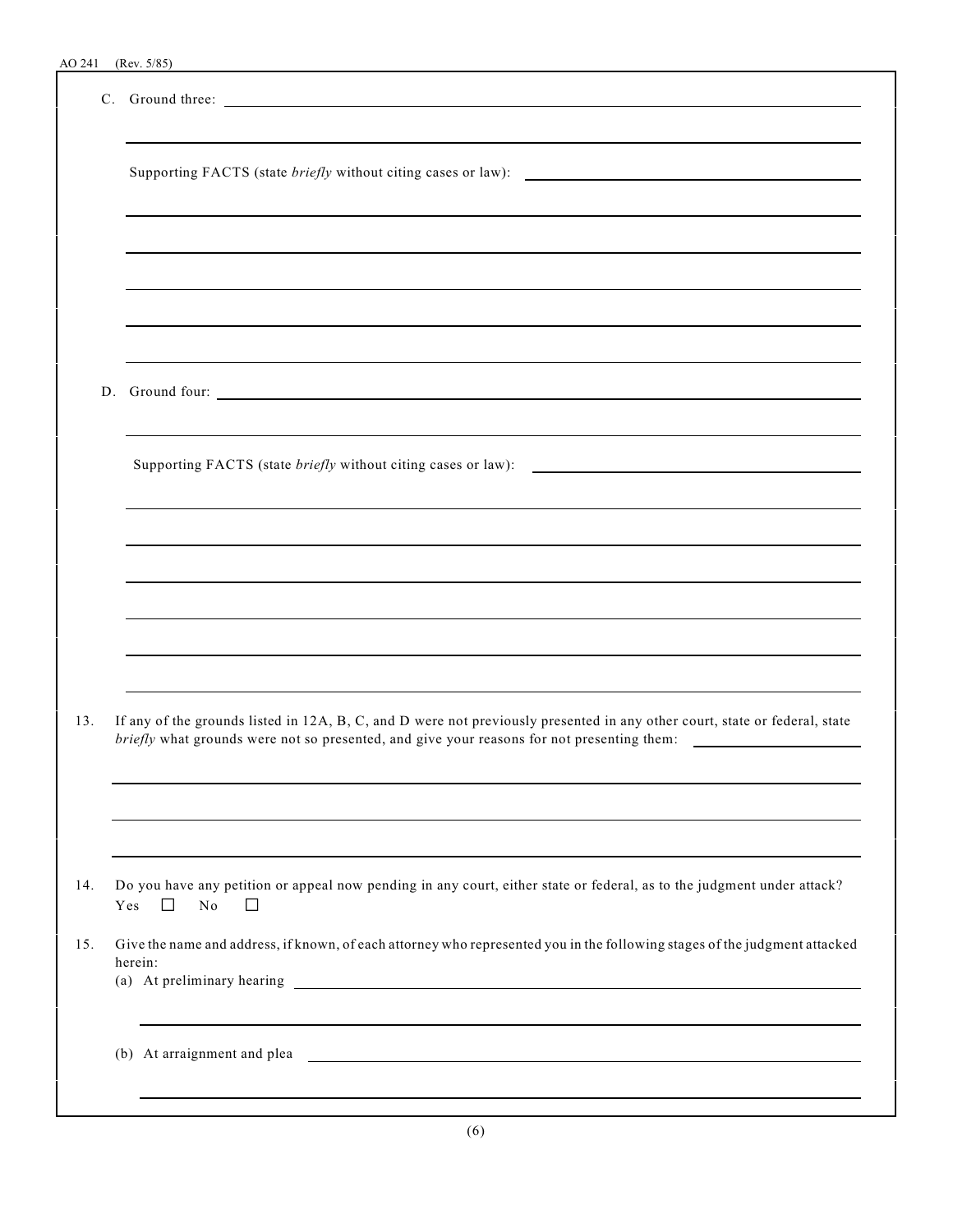|     | C. Ground three:                                                                                                                                                                                                         |
|-----|--------------------------------------------------------------------------------------------------------------------------------------------------------------------------------------------------------------------------|
|     |                                                                                                                                                                                                                          |
|     |                                                                                                                                                                                                                          |
|     |                                                                                                                                                                                                                          |
|     | ,我们也不会有什么。""我们的人,我们也不会有什么?""我们的人,我们也不会有什么?""我们的人,我们也不会有什么?""我们的人,我们也不会有什么?""我们的人<br>D. Ground four:                                                                                                                      |
|     | and the control of the control of the control of the control of the control of the control of the control of the<br>Supporting FACTS (state <i>briefly</i> without citing cases or law): $\qquad \qquad$                 |
|     |                                                                                                                                                                                                                          |
|     | ,我们也不会有什么?""我们的人,我们也不会有什么?""我们的人,我们也不会有什么?""我们的人,我们也不会有什么?""我们的人,我们也不会有什么?""我们的人                                                                                                                                         |
|     |                                                                                                                                                                                                                          |
| 13. | If any of the grounds listed in 12A, B, C, and D were not previously presented in any other court, state or federal, state<br>briefly what grounds were not so presented, and give your reasons for not presenting them: |
|     |                                                                                                                                                                                                                          |
| 14. | Do you have any petition or appeal now pending in any court, either state or federal, as to the judgment under attack?<br>Yes<br>$\Box$<br>No<br>$\Box$                                                                  |
| 15. | Give the name and address, if known, of each attorney who represented you in the following stages of the judgment attacked<br>herein:                                                                                    |
|     |                                                                                                                                                                                                                          |